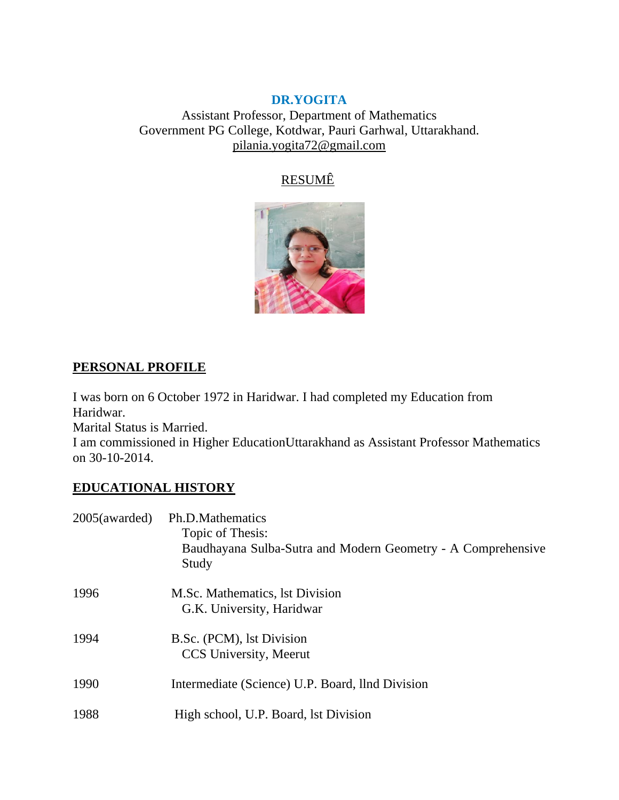### **DR.YOGITA**

Assistant Professor, Department of Mathematics Government PG College, Kotdwar, Pauri Garhwal, Uttarakhand. pilania.yogita72@gmail.com

# RESUMÊ



## **PERSONAL PROFILE**

I was born on 6 October 1972 in Haridwar. I had completed my Education from Haridwar.

Marital Status is Married.

I am commissioned in Higher EducationUttarakhand as Assistant Professor Mathematics on 30-10-2014.

# **EDUCATIONAL HISTORY**

| 2005(awarded) | Ph.D.Mathematics<br>Topic of Thesis:<br>Baudhayana Sulba-Sutra and Modern Geometry - A Comprehensive<br>Study |
|---------------|---------------------------------------------------------------------------------------------------------------|
| 1996          | M.Sc. Mathematics, 1st Division<br>G.K. University, Haridwar                                                  |
| 1994          | B.Sc. (PCM), 1st Division<br>CCS University, Meerut                                                           |
| 1990          | Intermediate (Science) U.P. Board, Ilnd Division                                                              |
| 1988          | High school, U.P. Board, 1st Division                                                                         |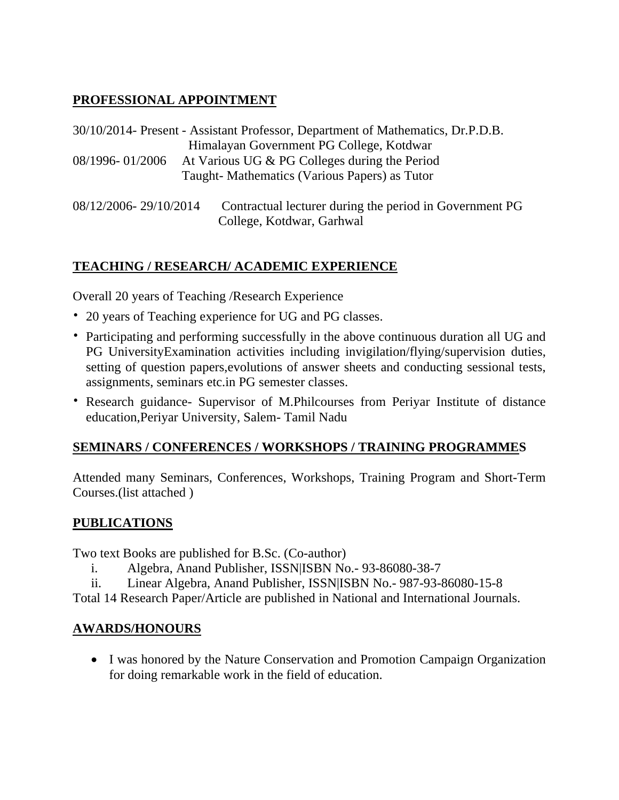# **PROFESSIONAL APPOINTMENT**

30/10/2014- Present - Assistant Professor, Department of Mathematics, Dr.P.D.B. Himalayan Government PG College, Kotdwar 08/1996- 01/2006 At Various UG & PG Colleges during the Period Taught- Mathematics (Various Papers) as Tutor

08/12/2006- 29/10/2014 Contractual lecturer during the period in Government PG College, Kotdwar, Garhwal

# **TEACHING / RESEARCH/ ACADEMIC EXPERIENCE**

Overall 20 years of Teaching /Research Experience

- 20 years of Teaching experience for UG and PG classes.
- Participating and performing successfully in the above continuous duration all UG and PG UniversityExamination activities including invigilation/flying/supervision duties, setting of question papers,evolutions of answer sheets and conducting sessional tests, assignments, seminars etc.in PG semester classes.
- Research guidance- Supervisor of M.Philcourses from Periyar Institute of distance education,Periyar University, Salem- Tamil Nadu

# **SEMINARS / CONFERENCES / WORKSHOPS / TRAINING PROGRAMMES**

Attended many Seminars, Conferences, Workshops, Training Program and Short-Term Courses.(list attached )

### **PUBLICATIONS**

Two text Books are published for B.Sc. (Co-author)

- i. Algebra, Anand Publisher, ISSN|ISBN No.- 93-86080-38-7
- ii. Linear Algebra, Anand Publisher, ISSN|ISBN No.- 987-93-86080-15-8

Total 14 Research Paper/Article are published in National and International Journals.

# **AWARDS/HONOURS**

• I was honored by the Nature Conservation and Promotion Campaign Organization for doing remarkable work in the field of education.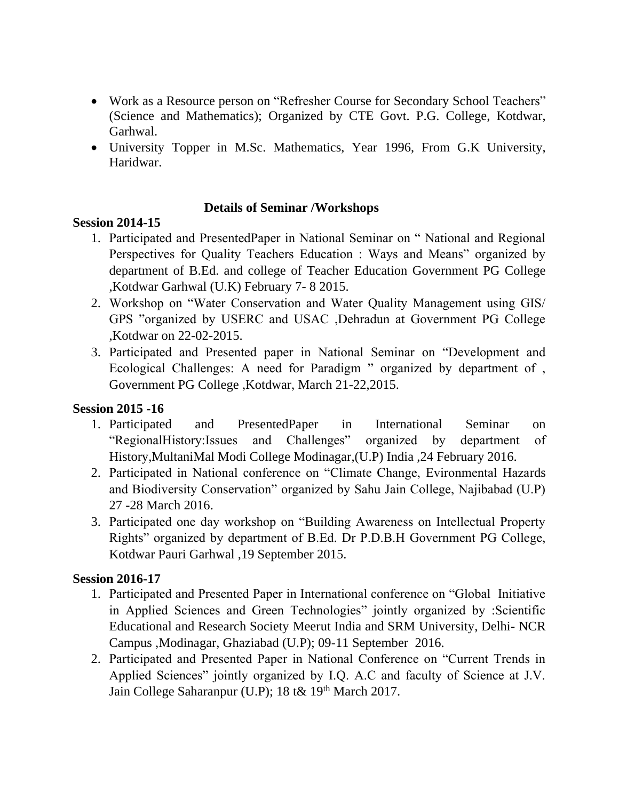- Work as a Resource person on "Refresher Course for Secondary School Teachers" (Science and Mathematics); Organized by CTE Govt. P.G. College, Kotdwar, Garhwal.
- University Topper in M.Sc. Mathematics, Year 1996, From G.K University, Haridwar.

### **Details of Seminar /Workshops**

#### **Session 2014-15**

- 1. Participated and PresentedPaper in National Seminar on " National and Regional Perspectives for Quality Teachers Education : Ways and Means" organized by department of B.Ed. and college of Teacher Education Government PG College ,Kotdwar Garhwal (U.K) February 7- 8 2015.
- 2. Workshop on "Water Conservation and Water Quality Management using GIS/ GPS "organized by USERC and USAC ,Dehradun at Government PG College ,Kotdwar on 22-02-2015.
- 3. Participated and Presented paper in National Seminar on "Development and Ecological Challenges: A need for Paradigm " organized by department of , Government PG College ,Kotdwar, March 21-22,2015.

### **Session 2015 -16**

- 1. Participated and PresentedPaper in International Seminar on "RegionalHistory:Issues and Challenges" organized by department of History,MultaniMal Modi College Modinagar,(U.P) India ,24 February 2016.
- 2. Participated in National conference on "Climate Change, Evironmental Hazards and Biodiversity Conservation" organized by Sahu Jain College, Najibabad (U.P) 27 -28 March 2016.
- 3. Participated one day workshop on "Building Awareness on Intellectual Property Rights" organized by department of B.Ed. Dr P.D.B.H Government PG College, Kotdwar Pauri Garhwal ,19 September 2015.

### **Session 2016-17**

- 1. Participated and Presented Paper in International conference on "Global Initiative in Applied Sciences and Green Technologies" jointly organized by :Scientific Educational and Research Society Meerut India and SRM University, Delhi- NCR Campus ,Modinagar, Ghaziabad (U.P); 09-11 September 2016.
- 2. Participated and Presented Paper in National Conference on "Current Trends in Applied Sciences" jointly organized by I.Q. A.C and faculty of Science at J.V. Jain College Saharanpur (U.P); 18 t& 19th March 2017.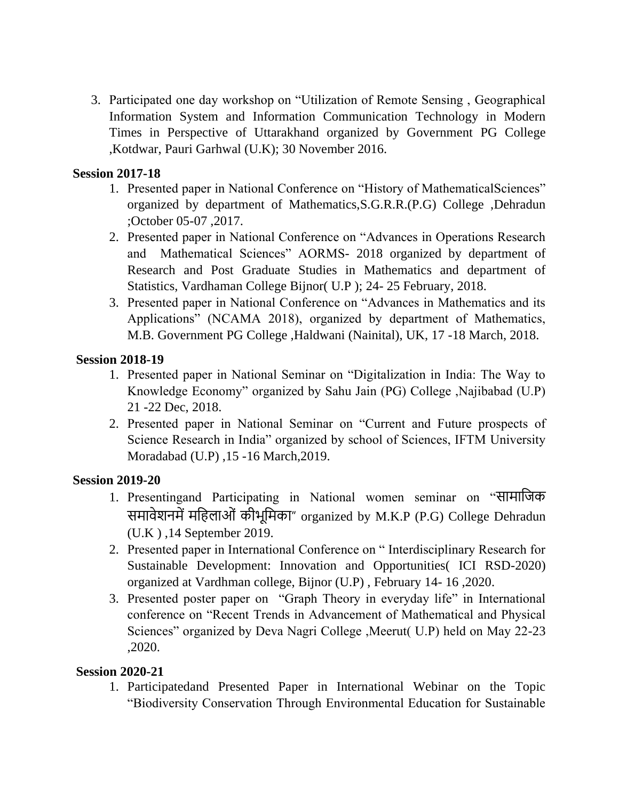3. Participated one day workshop on "Utilization of Remote Sensing , Geographical Information System and Information Communication Technology in Modern Times in Perspective of Uttarakhand organized by Government PG College ,Kotdwar, Pauri Garhwal (U.K); 30 November 2016.

#### **Session 2017-18**

- 1. Presented paper in National Conference on "History of MathematicalSciences" organized by department of Mathematics,S.G.R.R.(P.G) College ,Dehradun ;October 05-07 ,2017.
- 2. Presented paper in National Conference on "Advances in Operations Research and Mathematical Sciences" AORMS- 2018 organized by department of Research and Post Graduate Studies in Mathematics and department of Statistics, Vardhaman College Bijnor( U.P ); 24- 25 February, 2018.
- 3. Presented paper in National Conference on "Advances in Mathematics and its Applications" (NCAMA 2018), organized by department of Mathematics, M.B. Government PG College ,Haldwani (Nainital), UK, 17 -18 March, 2018.

#### **Session 2018-19**

- 1. Presented paper in National Seminar on "Digitalization in India: The Way to Knowledge Economy" organized by Sahu Jain (PG) College ,Najibabad (U.P) 21 -22 Dec, 2018.
- 2. Presented paper in National Seminar on "Current and Future prospects of Science Research in India" organized by school of Sciences, IFTM University Moradabad (U.P) ,15 -16 March,2019.

### **Session 2019-20**

- 1. Presentingand Participating in National women seminar on "सामाजिक समावेशनमें महिलाओं कीभूमिका" organized by M.K.P (P.G) College Dehradun (U.K ) ,14 September 2019.
- 2. Presented paper in International Conference on " Interdisciplinary Research for Sustainable Development: Innovation and Opportunities( ICI RSD-2020) organized at Vardhman college, Bijnor (U.P) , February 14- 16 ,2020.
- 3. Presented poster paper on "Graph Theory in everyday life" in International conference on "Recent Trends in Advancement of Mathematical and Physical Sciences" organized by Deva Nagri College ,Meerut( U.P) held on May 22-23 ,2020.

#### **Session 2020-21**

1. Participatedand Presented Paper in International Webinar on the Topic "Biodiversity Conservation Through Environmental Education for Sustainable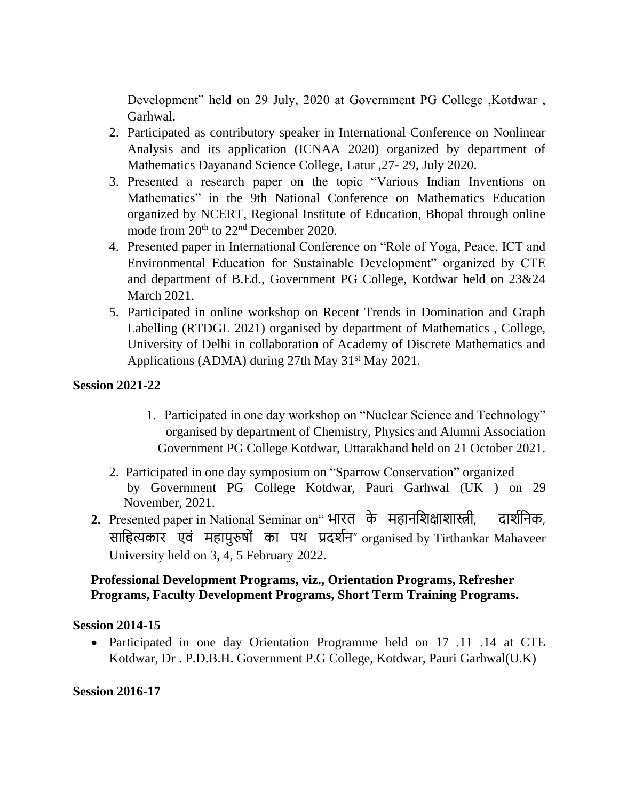Development" held on 29 July, 2020 at Government PG College ,Kotdwar , Garhwal.

- 2. Participated as contributory speaker in International Conference on Nonlinear Analysis and its application (ICNAA 2020) organized by department of Mathematics Dayanand Science College, Latur ,27- 29, July 2020.
- 3. Presented a research paper on the topic "Various Indian Inventions on Mathematics" in the 9th National Conference on Mathematics Education organized by NCERT, Regional Institute of Education, Bhopal through online mode from  $20<sup>th</sup>$  to  $22<sup>nd</sup>$  December 2020.
- 4. Presented paper in International Conference on "Role of Yoga, Peace, ICT and Environmental Education for Sustainable Development" organized by CTE and department of B.Ed., Government PG College, Kotdwar held on 23&24 March 2021.
- 5. Participated in online workshop on Recent Trends in Domination and Graph Labelling (RTDGL 2021) organised by department of Mathematics , College, University of Delhi in collaboration of Academy of Discrete Mathematics and Applications (ADMA) during 27th May  $31<sup>st</sup>$  May 2021.

## **Session 2021-22**

- 1. Participated in one day workshop on "Nuclear Science and Technology" organised by department of Chemistry, Physics and Alumni Association Government PG College Kotdwar, Uttarakhand held on 21 October 2021.
- 2. Participated in one day symposium on "Sparrow Conservation" organized by Government PG College Kotdwar, Pauri Garhwal (UK ) on 29 November, 2021.
- 2. Presented paper in National Seminar on" भारत के महानशिक्षाशास्त्री, दार्शनिक, साहित्यकार एवं महापुरुषों का पथ प्रदर्शन" organised by Tirthankar Mahaveer University held on 3, 4, 5 February 2022.

## **Professional Development Programs, viz., Orientation Programs, Refresher Programs, Faculty Development Programs, Short Term Training Programs.**

### **Session 2014-15**

• Participated in one day Orientation Programme held on 17 .11 .14 at CTE Kotdwar, Dr . P.D.B.H. Government P.G College, Kotdwar, Pauri Garhwal(U.K)

**Session 2016-17**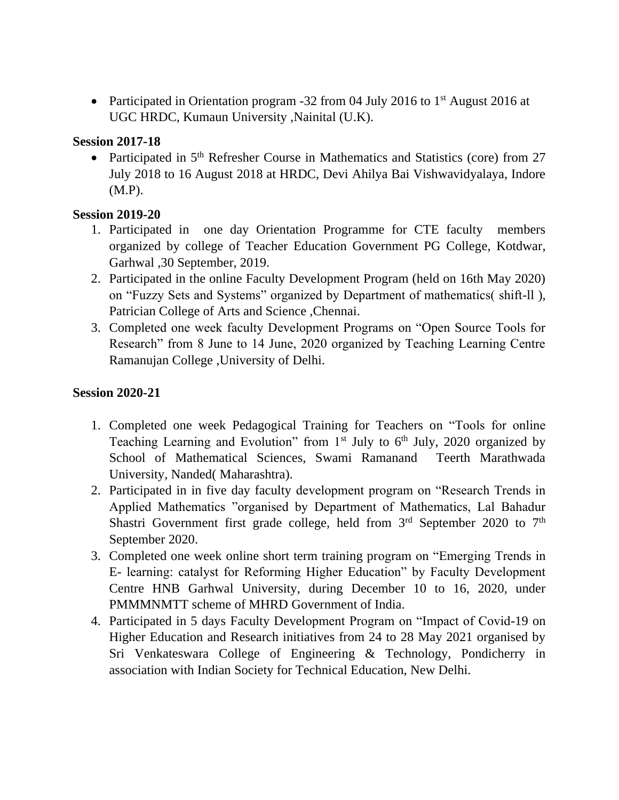• Participated in Orientation program -32 from 04 July 2016 to 1<sup>st</sup> August 2016 at UGC HRDC, Kumaun University ,Nainital (U.K).

#### **Session 2017-18**

• Participated in 5<sup>th</sup> Refresher Course in Mathematics and Statistics (core) from 27 July 2018 to 16 August 2018 at HRDC, Devi Ahilya Bai Vishwavidyalaya, Indore (M.P).

## **Session 2019-20**

- 1. Participated in one day Orientation Programme for CTE faculty members organized by college of Teacher Education Government PG College, Kotdwar, Garhwal ,30 September, 2019.
- 2. Participated in the online Faculty Development Program (held on 16th May 2020) on "Fuzzy Sets and Systems" organized by Department of mathematics( shift-ll ), Patrician College of Arts and Science ,Chennai.
- 3. Completed one week faculty Development Programs on "Open Source Tools for Research" from 8 June to 14 June, 2020 organized by Teaching Learning Centre Ramanujan College ,University of Delhi.

### **Session 2020-21**

- 1. Completed one week Pedagogical Training for Teachers on "Tools for online Teaching Learning and Evolution" from  $1<sup>st</sup>$  July to  $6<sup>th</sup>$  July, 2020 organized by School of Mathematical Sciences, Swami Ramanand Teerth Marathwada University, Nanded( Maharashtra).
- 2. Participated in in five day faculty development program on "Research Trends in Applied Mathematics "organised by Department of Mathematics, Lal Bahadur Shastri Government first grade college, held from  $3<sup>rd</sup>$  September 2020 to  $7<sup>th</sup>$ September 2020.
- 3. Completed one week online short term training program on "Emerging Trends in E- learning: catalyst for Reforming Higher Education" by Faculty Development Centre HNB Garhwal University, during December 10 to 16, 2020, under PMMMNMTT scheme of MHRD Government of India.
- 4. Participated in 5 days Faculty Development Program on "Impact of Covid-19 on Higher Education and Research initiatives from 24 to 28 May 2021 organised by Sri Venkateswara College of Engineering & Technology, Pondicherry in association with Indian Society for Technical Education, New Delhi.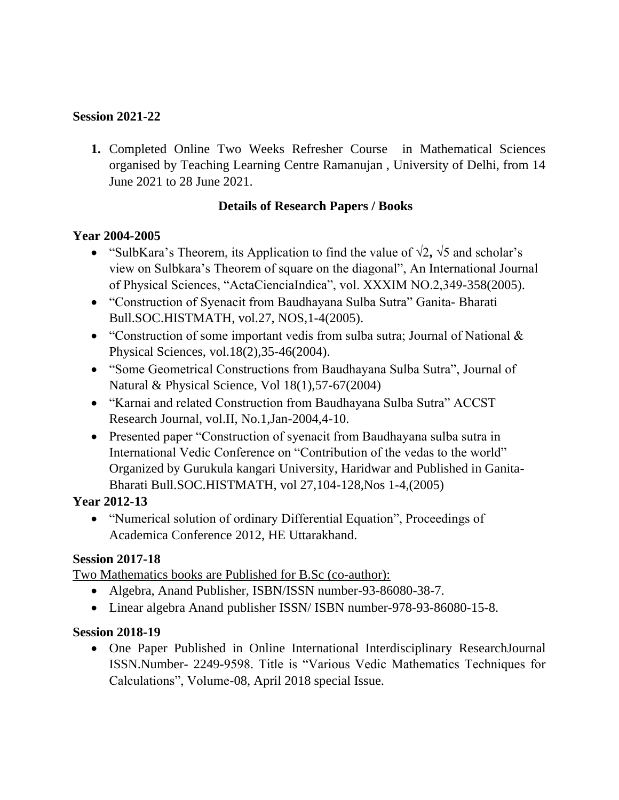## **Session 2021-22**

**1.** Completed Online Two Weeks Refresher Course in Mathematical Sciences organised by Teaching Learning Centre Ramanujan , University of Delhi, from 14 June 2021 to 28 June 2021.

### **Details of Research Papers / Books**

### **Year 2004-2005**

- "SulbKara's Theorem, its Application to find the value of √2**,** √5 and scholar's view on Sulbkara's Theorem of square on the diagonal", An International Journal of Physical Sciences, "ActaCienciaIndica", vol. XXXIM NO.2,349-358(2005).
- "Construction of Syenacit from Baudhayana Sulba Sutra" Ganita- Bharati Bull.SOC.HISTMATH, vol.27, NOS,1-4(2005).
- "Construction of some important vedis from sulba sutra; Journal of National & Physical Sciences, vol.18(2),35-46(2004).
- "Some Geometrical Constructions from Baudhayana Sulba Sutra", Journal of Natural & Physical Science, Vol 18(1),57-67(2004)
- "Karnai and related Construction from Baudhayana Sulba Sutra" ACCST Research Journal, vol.II, No.1,Jan-2004,4-10.
- Presented paper "Construction of syenacit from Baudhayana sulba sutra in International Vedic Conference on "Contribution of the vedas to the world" Organized by Gurukula kangari University, Haridwar and Published in Ganita-Bharati Bull.SOC.HISTMATH, vol 27,104-128,Nos 1-4,(2005)

### **Year 2012-13**

• "Numerical solution of ordinary Differential Equation", Proceedings of Academica Conference 2012, HE Uttarakhand.

### **Session 2017-18**

Two Mathematics books are Published for B.Sc (co-author):

- Algebra, Anand Publisher, ISBN/ISSN number-93-86080-38-7.
- Linear algebra Anand publisher ISSN/ ISBN number-978-93-86080-15-8.

### **Session 2018-19**

• One Paper Published in Online International Interdisciplinary ResearchJournal ISSN.Number- 2249-9598. Title is "Various Vedic Mathematics Techniques for Calculations", Volume-08, April 2018 special Issue.